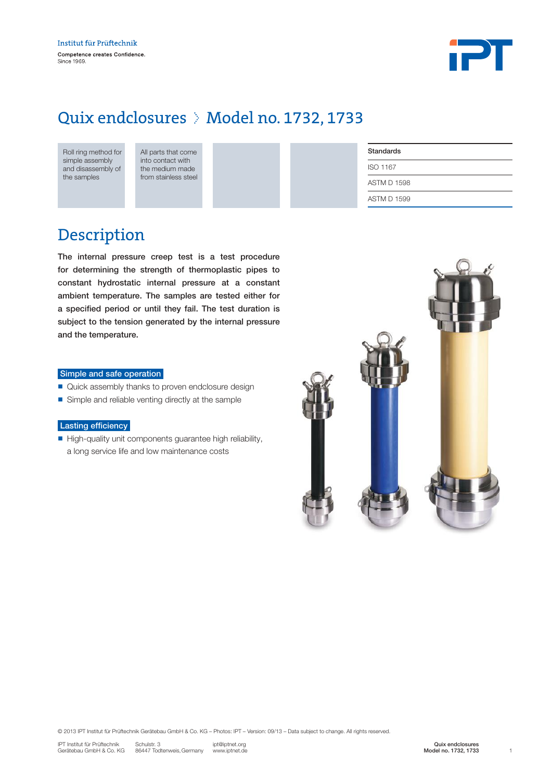

### Quix endclosures > Model no. 1732, 1733

All parts that come into contact with the medium made from stainless steel

| <b>Standards</b>   |  |
|--------------------|--|
| ISO 1167           |  |
| <b>ASTM D 1598</b> |  |
| <b>ASTM D 1599</b> |  |
|                    |  |

### Description

The internal pressure creep test is a test procedure for determining the strength of thermoplastic pipes to constant hydrostatic internal pressure at a constant ambient temperature. The samples are tested either for a specified period or until they fail. The test duration is subject to the tension generated by the internal pressure and the temperature.

#### Simple and safe operation

- Quick assembly thanks to proven endclosure design
- Simple and reliable venting directly at the sample

#### Lasting efficiency

n High-quality unit components guarantee high reliability, a long service life and low maintenance costs



© 2013 IPT Institut für Prüftechnik Gerätebau GmbH & Co. KG – Photos: IPT – Version: 09/13 – Data subject to change. All rights reserved.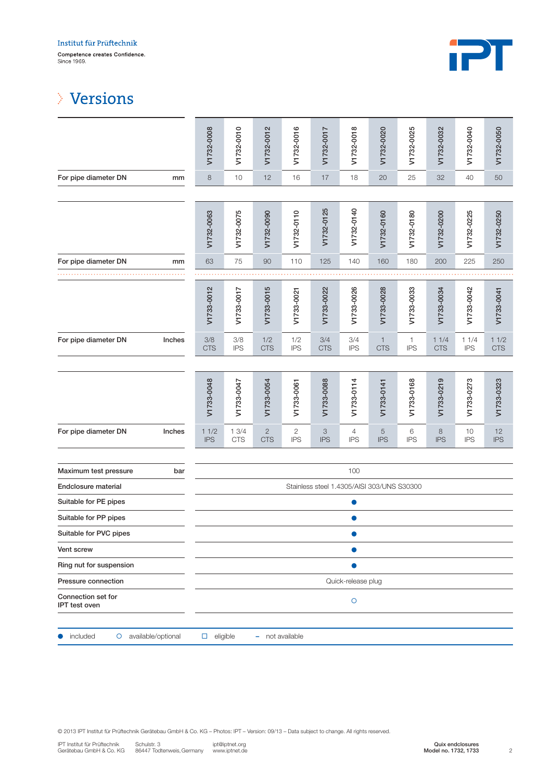

## Versions

|                                     | V1732-0008         | V1732-0010                                 | V1732-0012                 | V1732-0016                   | V1732-0017        | V1732-0018        | V1732-0020                   | V1732-0025                 | V1732-0032            | V1732-0040         | V1732-0050         |
|-------------------------------------|--------------------|--------------------------------------------|----------------------------|------------------------------|-------------------|-------------------|------------------------------|----------------------------|-----------------------|--------------------|--------------------|
| For pipe diameter DN<br>mm          | $\,8\,$            | 10                                         | 12                         | 16                           | 17                | 18                | 20                           | 25                         | 32                    | 40                 | $50\,$             |
|                                     |                    |                                            |                            |                              |                   |                   |                              |                            |                       |                    |                    |
|                                     | V1732-0063         | V1732-0075                                 | V1732-0090                 | V1732-0110                   | V1732-0125        | V1732-0140        | V1732-0160                   | V1732-0180                 | V1732-0200            | V1732-0225         | V1732-0250         |
| For pipe diameter DN<br>mm          | 63                 | 75                                         | 90                         | 110                          | 125               | 140               | 160                          | 180                        | 200                   | 225                | 250                |
|                                     |                    |                                            |                            |                              |                   |                   |                              |                            |                       |                    |                    |
|                                     | V1733-0012         | V1733-0017                                 | V1733-0015                 | V1733-0021                   | V1733-0022        | V1733-0026        | V1733-0028                   | V1733-0033                 | V1733-0034            | V1733-0042         | V1733-0041         |
| For pipe diameter DN<br>Inches      | 3/8<br><b>CTS</b>  | 3/8<br><b>IPS</b>                          | 1/2<br><b>CTS</b>          | 1/2<br><b>IPS</b>            | 3/4<br><b>CTS</b> | 3/4<br><b>IPS</b> | $\mathbf{1}$<br><b>CTS</b>   | $\mathbf{1}$<br><b>IPS</b> | 11/4<br><b>CTS</b>    | 11/4<br><b>IPS</b> | 11/2<br><b>CTS</b> |
|                                     |                    |                                            |                            |                              |                   |                   |                              |                            |                       |                    |                    |
|                                     | V1733-0048         | V1733-0047                                 | V1733-0054                 | V1733-0061                   | V1733-0088        | V1733-0114        | V1733-0141                   | V1733-0168                 | V1733-0219            | V1733-0273         | V1733-0323         |
| Inches<br>For pipe diameter DN      | 11/2<br><b>IPS</b> | 13/4<br><b>CTS</b>                         | $\mathbf{2}$<br><b>CTS</b> | $\overline{c}$<br><b>IPS</b> | 3<br><b>IPS</b>   | 4<br><b>IPS</b>   | $\overline{5}$<br><b>IPS</b> | 6<br><b>IPS</b>            | $\,8\,$<br><b>IPS</b> | 10<br><b>IPS</b>   | 12<br><b>IPS</b>   |
| Maximum test pressure<br>bar        |                    | 100                                        |                            |                              |                   |                   |                              |                            |                       |                    |                    |
| Endclosure material                 |                    | Stainless steel 1.4305/AISI 303/UNS S30300 |                            |                              |                   |                   |                              |                            |                       |                    |                    |
| Suitable for PE pipes               |                    |                                            |                            |                              |                   |                   |                              |                            |                       |                    |                    |
| Suitable for PP pipes               |                    |                                            |                            |                              |                   |                   |                              |                            |                       |                    |                    |
| Suitable for PVC pipes              |                    |                                            |                            |                              |                   |                   |                              |                            |                       |                    |                    |
| Vent screw                          | $\bullet$          |                                            |                            |                              |                   |                   |                              |                            |                       |                    |                    |
| Ring nut for suspension             |                    |                                            |                            |                              |                   |                   |                              |                            |                       |                    |                    |
| Pressure connection                 | Quick-release plug |                                            |                            |                              |                   |                   |                              |                            |                       |                    |                    |
| Connection set for<br>IPT test oven | $\circ$            |                                            |                            |                              |                   |                   |                              |                            |                       |                    |                    |
| O available/optional<br>included    | $\Box$ eligible    |                                            | - not available            |                              |                   |                   |                              |                            |                       |                    |                    |

© 2013 IPT Institut für Prüftechnik Gerätebau GmbH & Co. KG – Photos: IPT – Version: 09/13 – Data subject to change. All rights reserved.